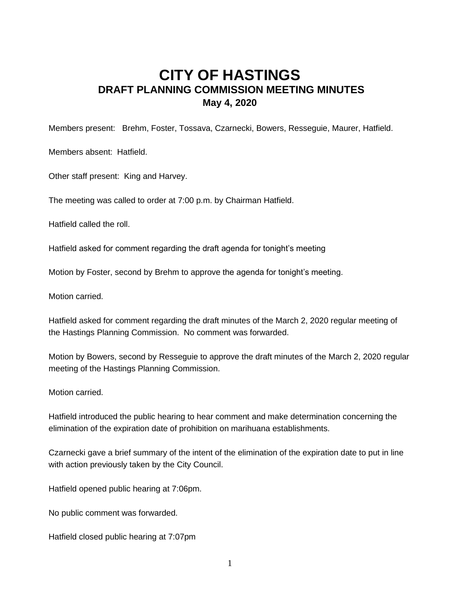## **CITY OF HASTINGS DRAFT PLANNING COMMISSION MEETING MINUTES May 4, 2020**

Members present: Brehm, Foster, Tossava, Czarnecki, Bowers, Resseguie, Maurer, Hatfield.

Members absent: Hatfield.

Other staff present: King and Harvey.

The meeting was called to order at 7:00 p.m. by Chairman Hatfield.

Hatfield called the roll.

Hatfield asked for comment regarding the draft agenda for tonight's meeting

Motion by Foster, second by Brehm to approve the agenda for tonight's meeting.

Motion carried.

Hatfield asked for comment regarding the draft minutes of the March 2, 2020 regular meeting of the Hastings Planning Commission. No comment was forwarded.

Motion by Bowers, second by Resseguie to approve the draft minutes of the March 2, 2020 regular meeting of the Hastings Planning Commission.

Motion carried.

Hatfield introduced the public hearing to hear comment and make determination concerning the elimination of the expiration date of prohibition on marihuana establishments.

Czarnecki gave a brief summary of the intent of the elimination of the expiration date to put in line with action previously taken by the City Council.

Hatfield opened public hearing at 7:06pm.

No public comment was forwarded.

Hatfield closed public hearing at 7:07pm